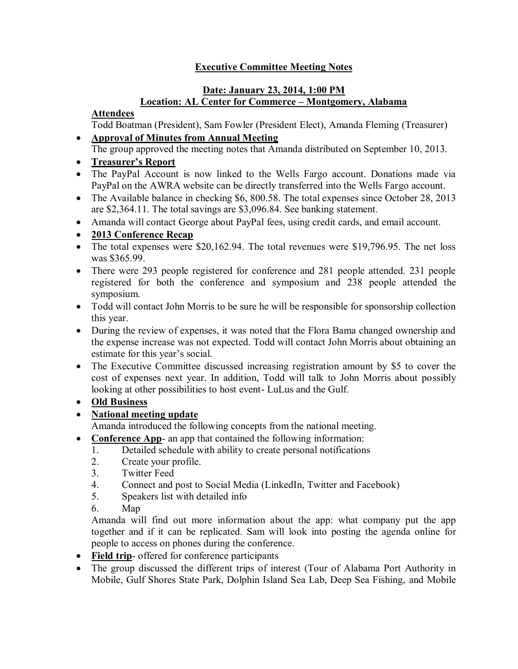### **Executive Committee Meeting Notes**

### **Date: January 23, 2014, 1:00 PM Location: AL Center for Commerce – Montgomery, Alabama**

#### **Attendees**

Todd Boatman (President), Sam Fowler (President Elect), Amanda Fleming (Treasurer) **Approval of Minutes from Annual Meeting**

- The group approved the meeting notes that Amanda distributed on September 10, 2013.
- **Treasurer's Report**
- The PayPal Account is now linked to the Wells Fargo account. Donations made via PayPal on the AWRA website can be directly transferred into the Wells Fargo account.
- The Available balance in checking \$6, 800.58. The total expenses since October 28, 2013 are \$2,364.11. The total savings are \$3,096.84. See banking statement.
- Amanda will contact George about PayPal fees, using credit cards, and email account.

#### **2013 Conference Recap**

- The total expenses were \$20,162.94. The total revenues were \$19,796.95. The net loss was \$365.99.
- There were 293 people registered for conference and 281 people attended. 231 people registered for both the conference and symposium and 238 people attended the symposium.
- Todd will contact John Morris to be sure he will be responsible for sponsorship collection this year.
- During the review of expenses, it was noted that the Flora Bama changed ownership and the expense increase was not expected. Todd will contact John Morris about obtaining an estimate for this year's social.
- The Executive Committee discussed increasing registration amount by \$5 to cover the cost of expenses next year. In addition, Todd will talk to John Morris about possibly looking at other possibilities to host event- LuLus and the Gulf.
- **Old Business**

### **National meeting update**

Amanda introduced the following concepts from the national meeting.

- **Conference App** an app that contained the following information:
	- 1. Detailed schedule with ability to create personal notifications
	- 2. Create your profile.
	- 3. Twitter Feed
	- 4. Connect and post to Social Media (LinkedIn, Twitter and Facebook)
	- 5. Speakers list with detailed info
	- 6. Map

Amanda will find out more information about the app: what company put the app together and if it can be replicated. Sam will look into posting the agenda online for people to access on phones during the conference.

- Field trip- offered for conference participants
- The group discussed the different trips of interest (Tour of Alabama Port Authority in Mobile, Gulf Shores State Park, Dolphin Island Sea Lab, Deep Sea Fishing, and Mobile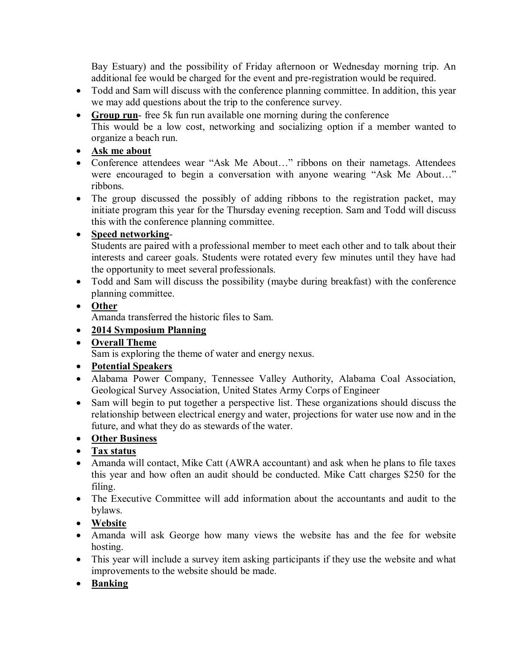Bay Estuary) and the possibility of Friday afternoon or Wednesday morning trip. An additional fee would be charged for the event and pre-registration would be required.

- Todd and Sam will discuss with the conference planning committee. In addition, this year we may add questions about the trip to the conference survey.
- **Group run** free 5k fun run available one morning during the conference This would be a low cost, networking and socializing option if a member wanted to organize a beach run.
- **Ask me about**
- Conference attendees wear "Ask Me About…" ribbons on their nametags. Attendees were encouraged to begin a conversation with anyone wearing "Ask Me About…" ribbons.
- The group discussed the possibly of adding ribbons to the registration packet, may initiate program this year for the Thursday evening reception. Sam and Todd will discuss this with the conference planning committee.

### **Speed networking**-

Students are paired with a professional member to meet each other and to talk about their interests and career goals. Students were rotated every few minutes until they have had the opportunity to meet several professionals.

 Todd and Sam will discuss the possibility (maybe during breakfast) with the conference planning committee.

# **Other**

Amanda transferred the historic files to Sam.

# **2014 Symposium Planning**

**Overall Theme**

Sam is exploring the theme of water and energy nexus.

- **Potential Speakers**
- Alabama Power Company, Tennessee Valley Authority, Alabama Coal Association, Geological Survey Association, United States Army Corps of Engineer
- Sam will begin to put together a perspective list. These organizations should discuss the relationship between electrical energy and water, projections for water use now and in the future, and what they do as stewards of the water.

# **Other Business**

- **Tax status**
- Amanda will contact, Mike Catt (AWRA accountant) and ask when he plans to file taxes this year and how often an audit should be conducted. Mike Catt charges \$250 for the filing.
- The Executive Committee will add information about the accountants and audit to the bylaws.
- **Website**
- Amanda will ask George how many views the website has and the fee for website hosting.
- This year will include a survey item asking participants if they use the website and what improvements to the website should be made.
- **Banking**